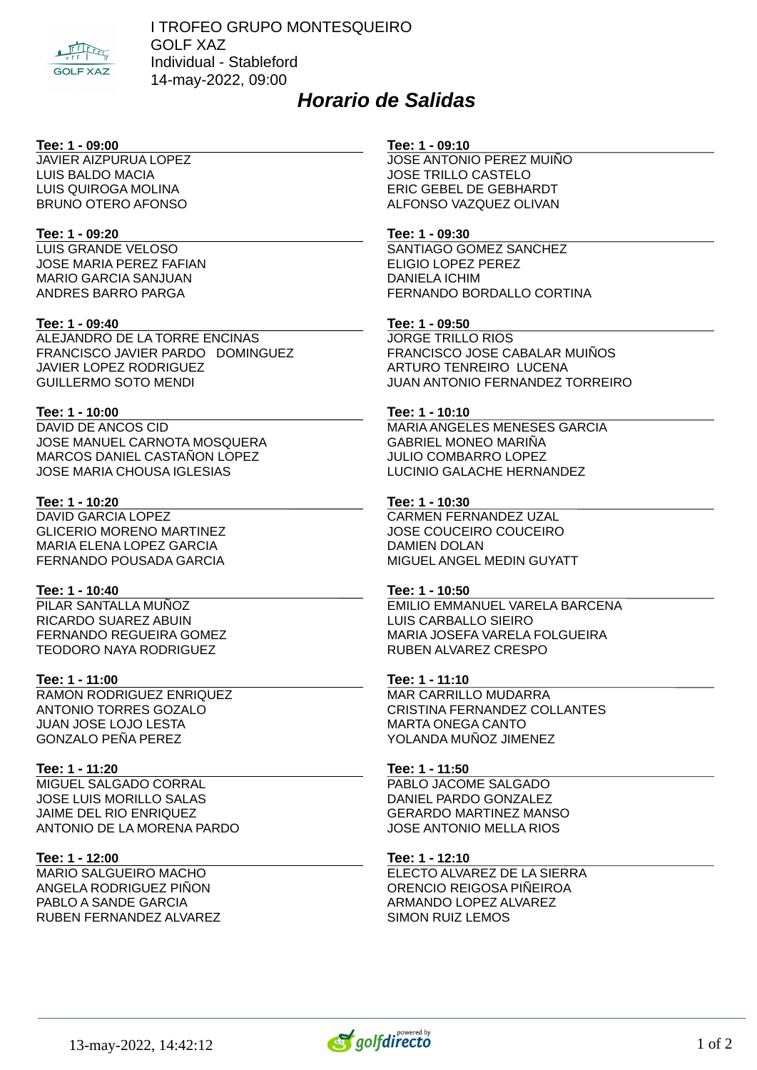

I TROFEO GRUPO MONTESQUEIRO GOLF XAZ Individual - Stableford 14-may-2022, 09:00

# *Horario de Salidas*

# **Tee: 1 - 09:00**

JAVIER AIZPURUA LOPEZ LUIS BALDO MACIA LUIS QUIROGA MOLINA BRUNO OTERO AFONSO

## **Tee: 1 - 09:20**

LUIS GRANDE VELOSO JOSE MARIA PEREZ FAFIAN MARIO GARCIA SANJUAN ANDRES BARRO PARGA

# **Tee: 1 - 09:40**

ALEJANDRO DE LA TORRE ENCINAS FRANCISCO JAVIER PARDO DOMINGUEZ JAVIER LOPEZ RODRIGUEZ GUILLERMO SOTO MENDI

# **Tee: 1 - 10:00**

DAVID DE ANCOS CID JOSE MANUEL CARNOTA MOSQUERA MARCOS DANIEL CASTAÑON LOPEZ JOSE MARIA CHOUSA IGLESIAS

# **Tee: 1 - 10:20**

DAVID GARCIA LOPEZ GLICERIO MORENO MARTINEZ MARIA ELENA LOPEZ GARCIA FERNANDO POUSADA GARCIA

# **Tee: 1 - 10:40**

PILAR SANTALLA MUÑOZ RICARDO SUAREZ ABUIN FERNANDO REGUEIRA GOMEZ TEODORO NAYA RODRIGUEZ

# **Tee: 1 - 11:00**

RAMON RODRIGUEZ ENRIQUEZ ANTONIO TORRES GOZALO JUAN JOSE LOJO LESTA GONZALO PEÑA PEREZ

# **Tee: 1 - 11:20**

MIGUEL SALGADO CORRAL JOSE LUIS MORILLO SALAS JAIME DEL RIO ENRIQUEZ ANTONIO DE LA MORENA PARDO

# **Tee: 1 - 12:00**

MARIO SALGUEIRO MACHO ANGELA RODRIGUEZ PIÑON PABLO A SANDE GARCIA RUBEN FERNANDEZ ALVAREZ

#### **Tee: 1 - 09:10**

JOSE ANTONIO PEREZ MUIÑO JOSE TRILLO CASTELO ERIC GEBEL DE GEBHARDT ALFONSO VAZQUEZ OLIVAN

## **Tee: 1 - 09:30**

SANTIAGO GOMEZ SANCHEZ ELIGIO LOPEZ PEREZ DANIELA ICHIM FERNANDO BORDALLO CORTINA

## **Tee: 1 - 09:50**

JORGE TRILLO RIOS FRANCISCO JOSE CABALAR MUIÑOS ARTURO TENREIRO LUCENA JUAN ANTONIO FERNANDEZ TORREIRO

# **Tee: 1 - 10:10**

MARIA ANGELES MENESES GARCIA GABRIEL MONEO MARIÑA JULIO COMBARRO LOPEZ LUCINIO GALACHE HERNANDEZ

# **Tee: 1 - 10:30**

CARMEN FERNANDEZ UZAL JOSE COUCEIRO COUCEIRO DAMIEN DOLAN MIGUEL ANGEL MEDIN GUYATT

# **Tee: 1 - 10:50**

EMILIO EMMANUEL VARELA BARCENA LUIS CARBALLO SIEIRO MARIA JOSEFA VARELA FOLGUEIRA RUBEN ALVAREZ CRESPO

# **Tee: 1 - 11:10**

MAR CARRILLO MUDARRA CRISTINA FERNANDEZ COLLANTES MARTA ONEGA CANTO YOLANDA MUÑOZ JIMENEZ

# **Tee: 1 - 11:50**

PABLO JACOME SALGADO DANIEL PARDO GONZALEZ GERARDO MARTINEZ MANSO JOSE ANTONIO MELLA RIOS

## **Tee: 1 - 12:10**

ELECTO ALVAREZ DE LA SIERRA ORENCIO REIGOSA PIÑEIROA ARMANDO LOPEZ ALVAREZ SIMON RUIZ LEMOS